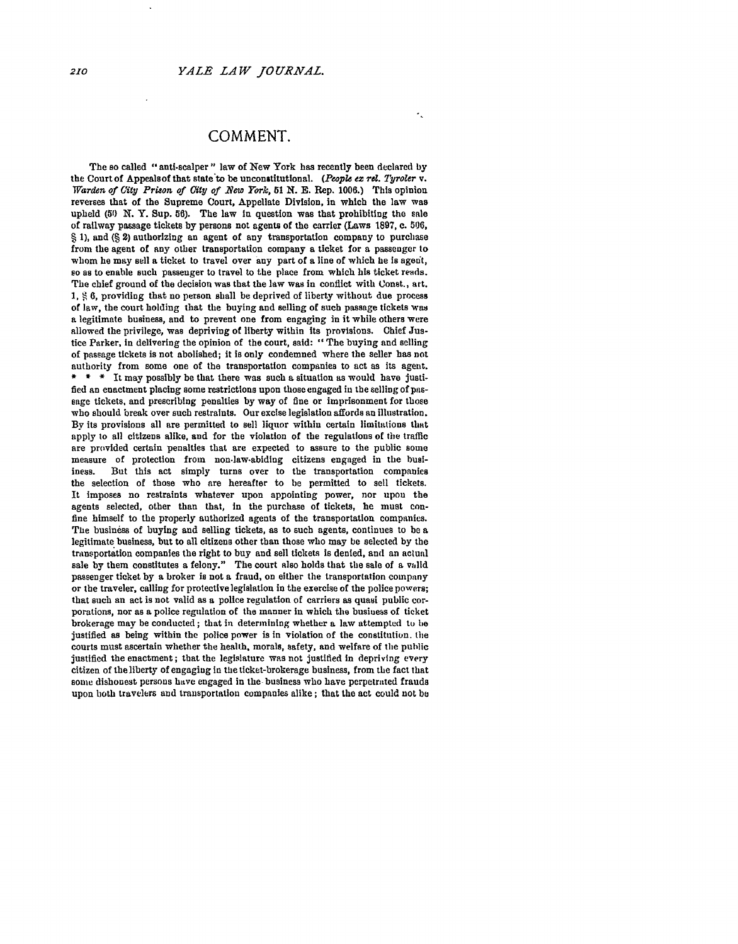## **COMMENT.**

×.

The so called "anti-scalper" law of New York has recently been declared **by** the Court of Appeals of that state to be unconstitutional. (People ex rel. Tyroler v. *Warden of City Pri8on of City of \_New York, 51* **N. E.** Rep. **1006.)** This opinion reverses that of the Supreme Court, Appellate Division, in which the law was upheld **(50 X.** Y. Sup. **56).** The law **In** question was that prohibiting the sale of railway passage tickets **by** persons not agents of the carrier (Laws **1897,** c. **5106, § 1),** and **(§** 2) authorizing an agent of any transportation company to purchase from the agent of any other transportation company a ticket for a passenger to whom he may sell a ticket to travel over any part of a line of which he is agent, so as to enable such passenger to travel to the place from which his ticket reads. The chief ground of the decision was that the law was in conflict with Conat., art. **1, 6,** providing that no person shall be deprived of liberty without due process of law, the court holding that the buying and selling of such passage tickets was a legitimate business, and to prevent one from engaging in it while others were allowed the privilege, was depriving of liberty within its provisions. Chief Justice Parker, in delivering the opinion of the court, said: "The buying and selling of passage tickets is not abolished; it is only condemned where the seller has not authority from some one of the transportation companies to act as its agent. \* \* \* It may possibly be that there was such a situation as would have justified an enactment placing some restrictions upon those engaged in the selling of passage tickets, and prescribing penalties **by** way of fine or imprisonment for those who should break over such restraints. Our excise legislation affords an illustration. **By** its provisions all are permitted to sell liquor within certain limitations that apply to all citizens alike, and for the violation of the regulations of the traffic are provided certain penalties that are expected to assure to the public some measure of protection from non-law-abiding citizens engaged in the busiiness. But this act simply turns over to the transportation companies the selection of those who are hereafter to be permitted to sell tickets. It imposes no restraints whatever upon appointing power, nor upon the agents selected, other than that, In the purchase of tickets, he must confine himself to the properly authorized agents of the transportation companies. The business of buying and selling tickets, as to such agents, continues to be a legitimate business, **but** to all citizens other than those who may be selected **by** the transportation companies the right to buy and sell tickets is denied, and an actual sale **by** them constitutes a felony." The court also holds that the sale of a valid passenger ticket **by** a broker is not a fraud, on either the transportation company or the traveler, calling for protective legislation in the exercise of the police powers; that such an act is not valid as a police regulation of carriers as quasi public corporations, nor as a police regulation of the manner in which the business of ticket brokerage may **be** conducted; that in determining whether a law attempted to he justified as being within the police power is in violation of the constitution, the courts must ascertain whether the health, morals, safety, and welfare of the public justified the enactment; that the legislature was not justified in depriving every citizen of the liberty of engaging in the ticket-brokerage business, from the fact that some dishonest persons have engaged in the business who have perpetrated frauds upon both travelers and transportation companies alike; that the act could not **be**